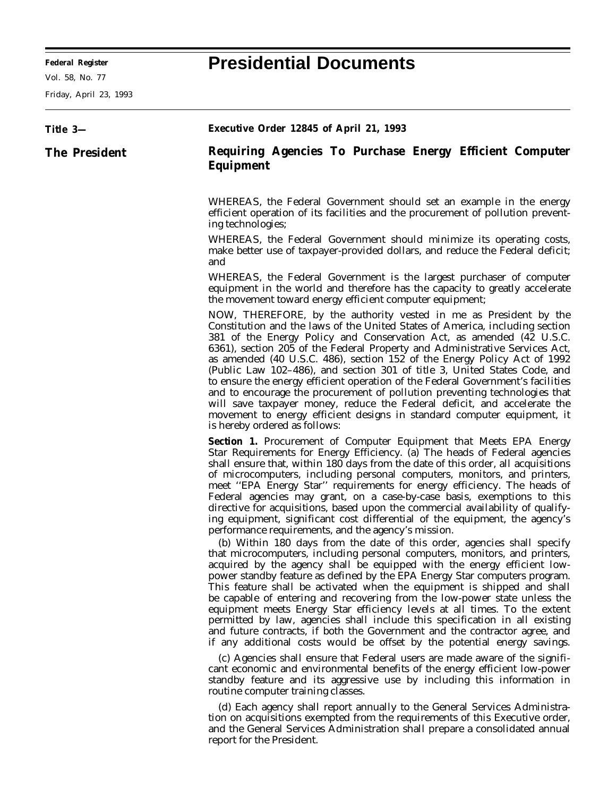## **Federal Register Presidential Documents**

Friday, April 23, 1993

| Title 3—      | <b>Executive Order 12845 of April 21, 1993</b>                                                                                                                                                                                                                                                                                                                                                                                                                                                                                                                                                                                                                                                                                                                                                                                                                                                                                                                                                                                                                                                                                                                                                                                                                                                                                                                                                                                                                                                        |
|---------------|-------------------------------------------------------------------------------------------------------------------------------------------------------------------------------------------------------------------------------------------------------------------------------------------------------------------------------------------------------------------------------------------------------------------------------------------------------------------------------------------------------------------------------------------------------------------------------------------------------------------------------------------------------------------------------------------------------------------------------------------------------------------------------------------------------------------------------------------------------------------------------------------------------------------------------------------------------------------------------------------------------------------------------------------------------------------------------------------------------------------------------------------------------------------------------------------------------------------------------------------------------------------------------------------------------------------------------------------------------------------------------------------------------------------------------------------------------------------------------------------------------|
| The President | Requiring Agencies To Purchase Energy Efficient Computer<br><b>Equipment</b>                                                                                                                                                                                                                                                                                                                                                                                                                                                                                                                                                                                                                                                                                                                                                                                                                                                                                                                                                                                                                                                                                                                                                                                                                                                                                                                                                                                                                          |
|               | WHEREAS, the Federal Government should set an example in the energy<br>efficient operation of its facilities and the procurement of pollution prevent-<br>ing technologies;                                                                                                                                                                                                                                                                                                                                                                                                                                                                                                                                                                                                                                                                                                                                                                                                                                                                                                                                                                                                                                                                                                                                                                                                                                                                                                                           |
|               | WHEREAS, the Federal Government should minimize its operating costs,<br>make better use of taxpayer-provided dollars, and reduce the Federal deficit;<br>and                                                                                                                                                                                                                                                                                                                                                                                                                                                                                                                                                                                                                                                                                                                                                                                                                                                                                                                                                                                                                                                                                                                                                                                                                                                                                                                                          |
|               | WHEREAS, the Federal Government is the largest purchaser of computer<br>equipment in the world and therefore has the capacity to greatly accelerate<br>the movement toward energy efficient computer equipment;                                                                                                                                                                                                                                                                                                                                                                                                                                                                                                                                                                                                                                                                                                                                                                                                                                                                                                                                                                                                                                                                                                                                                                                                                                                                                       |
|               | NOW, THEREFORE, by the authority vested in me as President by the<br>Constitution and the laws of the United States of America, including section<br>381 of the Energy Policy and Conservation Act, as amended (42 U.S.C.<br>6361), section 205 of the Federal Property and Administrative Services Act,<br>as amended (40 U.S.C. 486), section 152 of the Energy Policy Act of 1992<br>(Public Law 102-486), and section 301 of title 3, United States Code, and<br>to ensure the energy efficient operation of the Federal Government's facilities<br>and to encourage the procurement of pollution preventing technologies that<br>will save taxpayer money, reduce the Federal deficit, and accelerate the<br>movement to energy efficient designs in standard computer equipment, it<br>is hereby ordered as follows:                                                                                                                                                                                                                                                                                                                                                                                                                                                                                                                                                                                                                                                                            |
|               | <b>Section 1.</b> Procurement of Computer Equipment that Meets EPA Energy<br>Star Requirements for Energy Efficiency. (a) The heads of Federal agencies<br>shall ensure that, within 180 days from the date of this order, all acquisitions<br>of microcomputers, including personal computers, monitors, and printers,<br>meet "EPA Energy Star" requirements for energy efficiency. The heads of<br>Federal agencies may grant, on a case-by-case basis, exemptions to this<br>directive for acquisitions, based upon the commercial availability of qualify-<br>ing equipment, significant cost differential of the equipment, the agency's<br>performance requirements, and the agency's mission.<br>(b) Within 180 days from the date of this order, agencies shall specify<br>that microcomputers, including personal computers, monitors, and printers,<br>acquired by the agency shall be equipped with the energy efficient low-<br>power standby feature as defined by the EPA Energy Star computers program.<br>This feature shall be activated when the equipment is shipped and shall<br>be capable of entering and recovering from the low-power state unless the<br>equipment meets Energy Star efficiency levels at all times. To the extent<br>permitted by law, agencies shall include this specification in all existing<br>and future contracts, if both the Government and the contractor agree, and<br>if any additional costs would be offset by the potential energy savings. |
|               | (c) Agencies shall ensure that Federal users are made aware of the signifi-<br>cant economic and environmental benefits of the energy efficient low-power<br>standby feature and its aggressive use by including this information in<br>routine computer training classes.                                                                                                                                                                                                                                                                                                                                                                                                                                                                                                                                                                                                                                                                                                                                                                                                                                                                                                                                                                                                                                                                                                                                                                                                                            |

(d) Each agency shall report annually to the General Services Administration on acquisitions exempted from the requirements of this Executive order, and the General Services Administration shall prepare a consolidated annual report for the President.